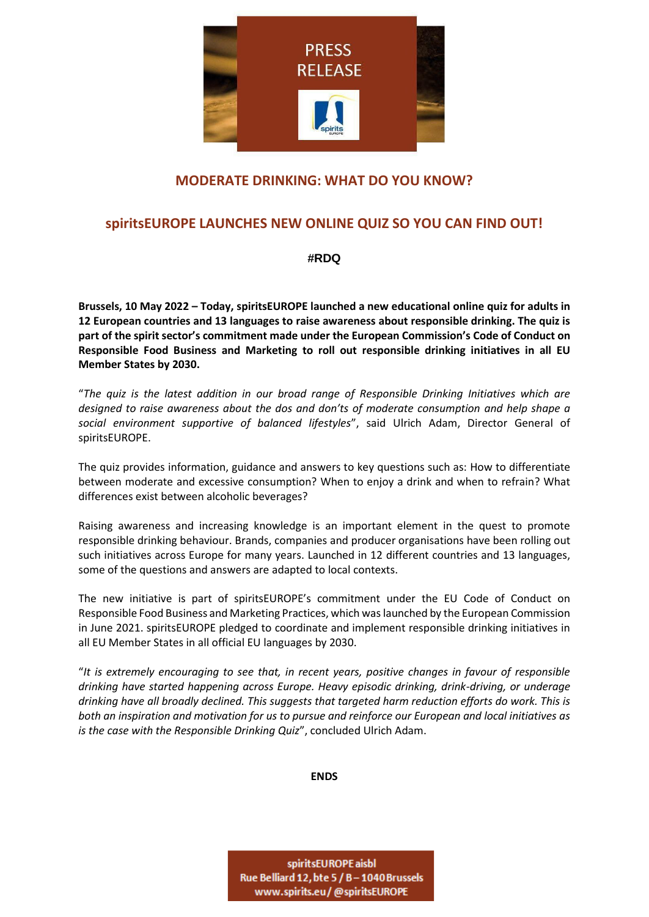

## **MODERATE DRINKING: WHAT DO YOU KNOW?**

## **spiritsEUROPE LAUNCHES NEW ONLINE QUIZ SO YOU CAN FIND OUT!**

## **#RDQ**

**Brussels, 10 May 2022 – Today, spiritsEUROPE launched a new educational online quiz for adults in 12 European countries and 13 languages to raise awareness about responsible drinking. The quiz is part of the spirit sector's commitment made under the European Commission's Code of Conduct on Responsible Food Business and Marketing to roll out responsible drinking initiatives in all EU Member States by 2030.**

"*The quiz is the latest addition in our broad range of Responsible Drinking Initiatives which are designed to raise awareness about the dos and don'ts of moderate consumption and help shape a social environment supportive of balanced lifestyles*", said Ulrich Adam, Director General of spiritsEUROPE.

The quiz provides information, guidance and answers to key questions such as: How to differentiate between moderate and excessive consumption? When to enjoy a drink and when to refrain? What differences exist between alcoholic beverages?

Raising awareness and increasing knowledge is an important element in the quest to promote responsible drinking behaviour. Brands, companies and producer organisations have been rolling out such initiatives across Europe for many years. Launched in 12 different countries and 13 languages, some of the questions and answers are adapted to local contexts.

The new initiative is part of spiritsEUROPE's commitment under the EU Code of Conduct on Responsible Food Business and Marketing Practices, which was launched by the European Commission in June 2021. spiritsEUROPE pledged to coordinate and implement responsible drinking initiatives in all EU Member States in all official EU languages by 2030.

"*It is extremely encouraging to see that, in recent years, positive changes in favour of responsible drinking have started happening across Europe. Heavy episodic drinking, drink-driving, or underage drinking have all broadly declined. This suggests that targeted harm reduction efforts do work. This is both an inspiration and motivation for us to pursue and reinforce our European and local initiatives as is the case with the Responsible Drinking Quiz*", concluded Ulrich Adam.

**ENDS**

spiritsEUROPE aisbl Rue Belliard 12, bte 5 / B - 1040 Brussels www.spirits.eu/@spiritsEUROPE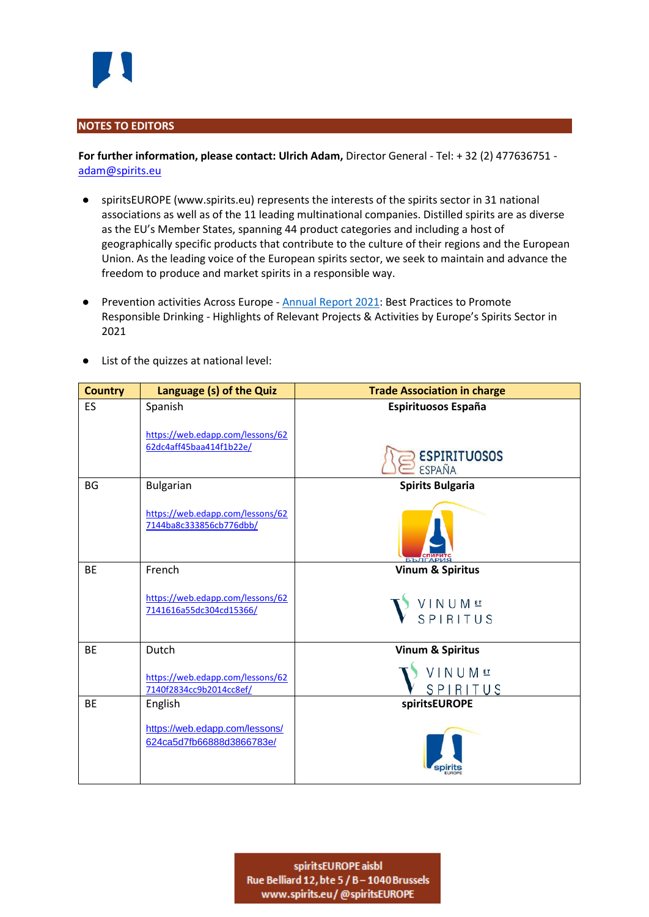

## **NOTES TO EDITORS**

**For further information, please contact: Ulrich Adam,** Director General - Tel: + 32 (2) 477636751 [adam@spirits.eu](mailto:adam@spirits.eu)

- spiritsEUROPE (www.spirits.eu) represents the interests of the spirits sector in 31 national associations as well as of the 11 leading multinational companies. Distilled spirits are as diverse as the EU's Member States, spanning 44 product categories and including a host of geographically specific products that contribute to the culture of their regions and the European Union. As the leading voice of the European spirits sector, we seek to maintain and advance the freedom to produce and market spirits in a responsible way.
- Prevention activities Across Europe **[Annual Report](https://spirits.eu/upload/files/publications/CP.AS-019-2022-responsible%20drinking%20initiatives%20report%202022%20-Final.pdf) 2021</u>: Best Practices to Promote** Responsible Drinking - Highlights of Relevant Projects & Activities by Europe's Spirits Sector in 2021

|  | List of the quizzes at national level: |
|--|----------------------------------------|
|--|----------------------------------------|

| <b>Country</b> | Language (s) of the Quiz                                    | <b>Trade Association in charge</b>   |
|----------------|-------------------------------------------------------------|--------------------------------------|
| <b>ES</b>      | Spanish                                                     | Espirituosos España                  |
|                | https://web.edapp.com/lessons/62<br>62dc4aff45baa414f1b22e/ | <b>ESPIRITUOSOS</b><br><b>ESPAÑA</b> |
| <b>BG</b>      | <b>Bulgarian</b>                                            | <b>Spirits Bulgaria</b>              |
|                | https://web.edapp.com/lessons/62<br>7144ba8c333856cb776dbb/ |                                      |
| <b>BE</b>      | French                                                      | <b>Vinum &amp; Spiritus</b>          |
|                | https://web.edapp.com/lessons/62<br>7141616a55dc304cd15366/ | VINUM <sup>ET</sup><br>VSPIRITUS     |
| <b>BE</b>      | Dutch                                                       | <b>Vinum &amp; Spiritus</b>          |
|                | https://web.edapp.com/lessons/62<br>7140f2834cc9b2014cc8ef/ | VINUMET<br>SPIRITUS                  |
| <b>BE</b>      | English                                                     | spiritsEUROPE                        |
|                | https://web.edapp.com/lessons/<br>624ca5d7fb66888d3866783e/ |                                      |

spiritsEUROPE aisbl Rue Belliard 12, bte 5 / B - 1040 Brussels www.spirits.eu/@spiritsEUROPE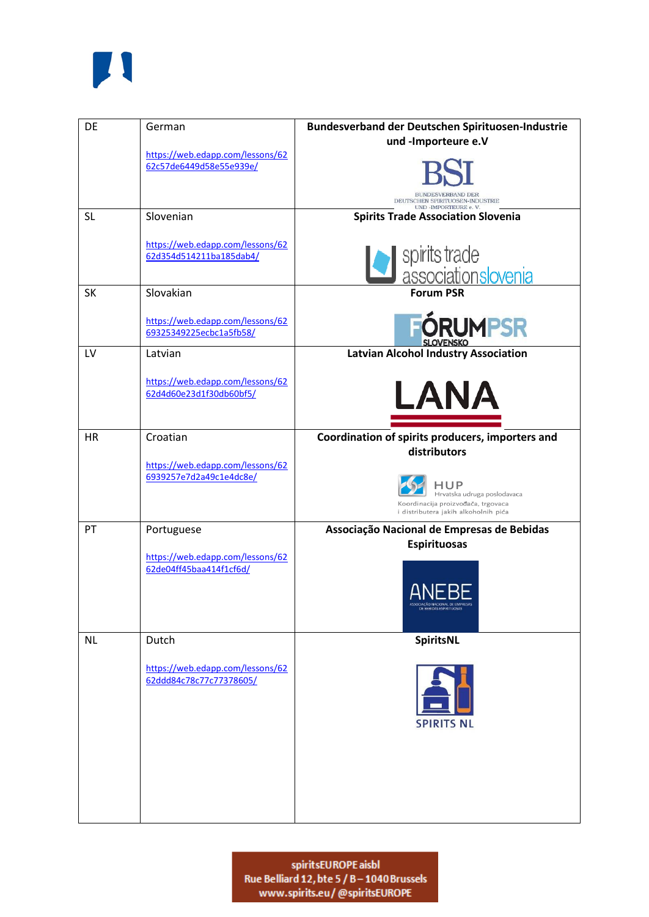

| DE        | German                                                      | Bundesverband der Deutschen Spirituosen-Industrie<br>und -Importeure e.V                                          |
|-----------|-------------------------------------------------------------|-------------------------------------------------------------------------------------------------------------------|
|           | https://web.edapp.com/lessons/62<br>62c57de6449d58e55e939e/ | <b>BUNDESVERBAND DER</b><br>DEUTSCHEN SPIRITUOSEN-INDUSTRIE<br><b>UND -IMPORTEURE e. V</b>                        |
| <b>SL</b> | Slovenian                                                   | <b>Spirits Trade Association Slovenia</b>                                                                         |
|           | https://web.edapp.com/lessons/62<br>62d354d514211ba185dab4/ | spirits trade<br>associationslovenia                                                                              |
| <b>SK</b> | Slovakian                                                   | <b>Forum PSR</b>                                                                                                  |
|           | https://web.edapp.com/lessons/62<br>69325349225ecbc1a5fb58/ | <b>FÓRUMPSR</b>                                                                                                   |
| LV        | Latvian                                                     | <b>Latvian Alcohol Industry Association</b>                                                                       |
|           | https://web.edapp.com/lessons/62<br>62d4d60e23d1f30db60bf5/ | LANA                                                                                                              |
| <b>HR</b> | Croatian                                                    | Coordination of spirits producers, importers and<br>distributors                                                  |
|           | https://web.edapp.com/lessons/62<br>6939257e7d2a49c1e4dc8e/ | -lup<br>Hrvatska udruga poslodavaca<br>Koordinacija proizvođača, trgovaca<br>i distributera jakih alkoholnih pića |
| PT        | Portuguese                                                  | Associação Nacional de Empresas de Bebidas<br><b>Espirituosas</b>                                                 |
|           | https://web.edapp.com/lessons/62<br>62de04ff45baa414f1cf6d/ | ANEBE<br>ASSOCIAÇÃO NACIONAL DE EMPRESAS<br>DE BEBIDAS ESPIRITUOSAS                                               |
| <b>NL</b> | Dutch                                                       | SpiritsNL                                                                                                         |
|           | https://web.edapp.com/lessons/62<br>62ddd84c78c77c77378605/ | <b>SPIRITS NL</b>                                                                                                 |
|           |                                                             |                                                                                                                   |

spiritsEUROPE aisbl<br>Rue Belliard 12, bte 5 / B – 1040 Brussels<br>www.spirits.eu/@spiritsEUROPE